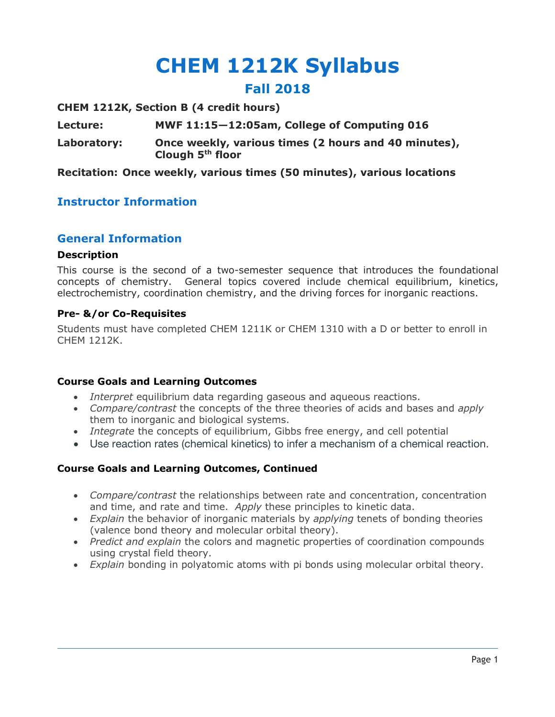# **CHEM 1212K Syllabus Fall 2018**

**CHEM 1212K, Section B (4 credit hours)**

**Lecture: MWF 11:15—12:05am, College of Computing 016**

**Laboratory: Once weekly, various times (2 hours and 40 minutes), Clough 5th floor**

**Recitation: Once weekly, various times (50 minutes), various locations**

## **Instructor Information**

### **General Information**

#### **Description**

This course is the second of a two-semester sequence that introduces the foundational concepts of chemistry. General topics covered include chemical equilibrium, kinetics, electrochemistry, coordination chemistry, and the driving forces for inorganic reactions.

#### **Pre- &/or Co-Requisites**

Students must have completed CHEM 1211K or CHEM 1310 with a D or better to enroll in CHEM 1212K.

#### **Course Goals and Learning Outcomes**

- *Interpret* equilibrium data regarding gaseous and aqueous reactions.
- *Compare/contrast* the concepts of the three theories of acids and bases and *apply*  them to inorganic and biological systems.
- *Integrate* the concepts of equilibrium, Gibbs free energy, and cell potential
- Use reaction rates (chemical kinetics) to infer a mechanism of a chemical reaction.

#### **Course Goals and Learning Outcomes, Continued**

- *Compare/contrast* the relationships between rate and concentration, concentration and time, and rate and time. *Apply* these principles to kinetic data.
- *Explain* the behavior of inorganic materials by *applying* tenets of bonding theories (valence bond theory and molecular orbital theory).
- *Predict and explain* the colors and magnetic properties of coordination compounds using crystal field theory.
- *Explain* bonding in polyatomic atoms with pi bonds using molecular orbital theory.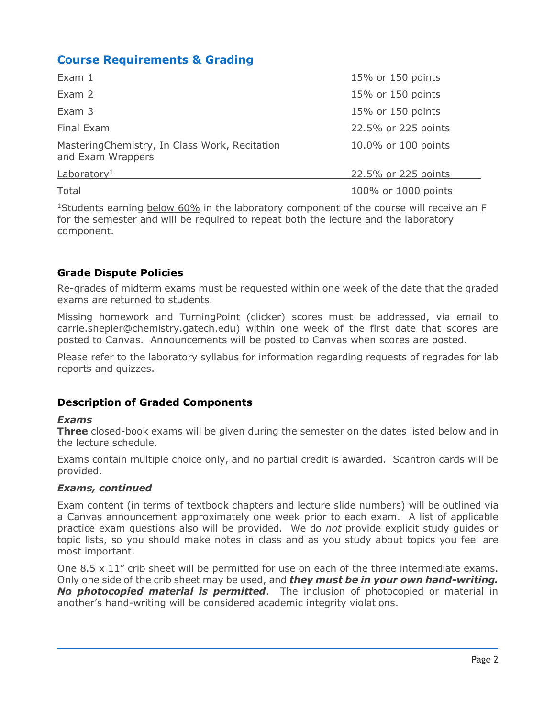## **Course Requirements & Grading**

| Exam 1                                                             | 15% or 150 points   |
|--------------------------------------------------------------------|---------------------|
| Exam 2                                                             | 15% or 150 points   |
| Exam 3                                                             | 15% or 150 points   |
| Final Exam                                                         | 22.5% or 225 points |
| MasteringChemistry, In Class Work, Recitation<br>and Exam Wrappers | 10.0% or 100 points |
| Laboratory <sup>1</sup>                                            | 22.5% or 225 points |
| Total                                                              | 100% or 1000 points |

<sup>1</sup>Students earning below 60% in the laboratory component of the course will receive an F for the semester and will be required to repeat both the lecture and the laboratory component.

### **Grade Dispute Policies**

Re-grades of midterm exams must be requested within one week of the date that the graded exams are returned to students.

Missing homework and TurningPoint (clicker) scores must be addressed, via email to carrie.shepler@chemistry.gatech.edu) within one week of the first date that scores are posted to Canvas. Announcements will be posted to Canvas when scores are posted.

Please refer to the laboratory syllabus for information regarding requests of regrades for lab reports and quizzes.

## **Description of Graded Components**

#### *Exams*

**Three** closed-book exams will be given during the semester on the dates listed below and in the lecture schedule.

Exams contain multiple choice only, and no partial credit is awarded. Scantron cards will be provided.

#### *Exams, continued*

Exam content (in terms of textbook chapters and lecture slide numbers) will be outlined via a Canvas announcement approximately one week prior to each exam. A list of applicable practice exam questions also will be provided. We do *not* provide explicit study guides or topic lists, so you should make notes in class and as you study about topics you feel are most important.

One  $8.5 \times 11$ " crib sheet will be permitted for use on each of the three intermediate exams. Only one side of the crib sheet may be used, and *they must be in your own hand-writing. No photocopied material is permitted*. The inclusion of photocopied or material in another's hand-writing will be considered academic integrity violations.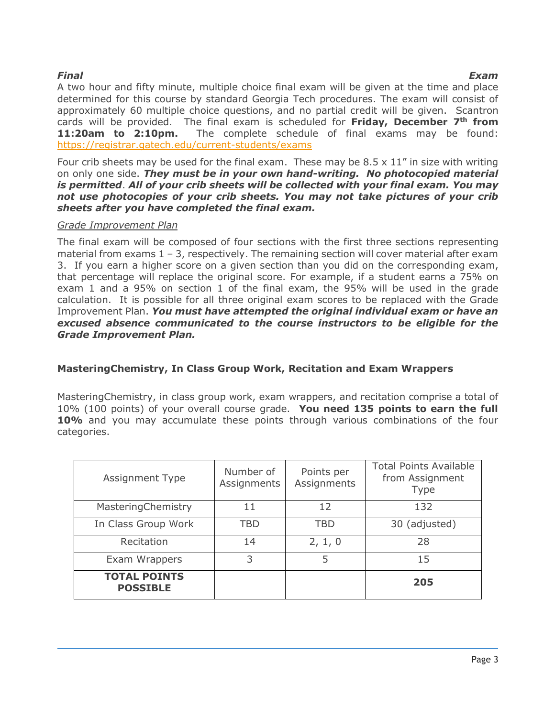*Final Exam* A two hour and fifty minute, multiple choice final exam will be given at the time and place determined for this course by standard Georgia Tech procedures. The exam will consist of approximately 60 multiple choice questions, and no partial credit will be given. Scantron cards will be provided. The final exam is scheduled for **Friday, December 7th from**  11:20am to 2:10pm. The complete schedule of final exams may be found: https://registrar.gatech.edu/current-students/exams

Four crib sheets may be used for the final exam. These may be  $8.5 \times 11$ " in size with writing on only one side. *They must be in your own hand-writing. No photocopied material is permitted*. *All of your crib sheets will be collected with your final exam. You may not use photocopies of your crib sheets. You may not take pictures of your crib sheets after you have completed the final exam.*

#### *Grade Improvement Plan*

The final exam will be composed of four sections with the first three sections representing material from exams  $1 - 3$ , respectively. The remaining section will cover material after exam 3. If you earn a higher score on a given section than you did on the corresponding exam, that percentage will replace the original score. For example, if a student earns a 75% on exam 1 and a 95% on section 1 of the final exam, the 95% will be used in the grade calculation. It is possible for all three original exam scores to be replaced with the Grade Improvement Plan. *You must have attempted the original individual exam or have an excused absence communicated to the course instructors to be eligible for the Grade Improvement Plan.*

### **MasteringChemistry, In Class Group Work, Recitation and Exam Wrappers**

MasteringChemistry, in class group work, exam wrappers, and recitation comprise a total of 10% (100 points) of your overall course grade. **You need 135 points to earn the full 10%** and you may accumulate these points through various combinations of the four categories.

| Assignment Type                        | Number of<br>Assignments | Points per<br>Assignments | <b>Total Points Available</b><br>from Assignment<br><b>Type</b> |
|----------------------------------------|--------------------------|---------------------------|-----------------------------------------------------------------|
| MasteringChemistry                     | 11                       | 12                        | 132                                                             |
| In Class Group Work                    | TBD                      | TBD                       | 30 (adjusted)                                                   |
| Recitation                             | 14                       | 2, 1, 0                   | 28                                                              |
| Exam Wrappers                          | 3                        | 5                         | 15                                                              |
| <b>TOTAL POINTS</b><br><b>POSSIBLE</b> |                          |                           | 205                                                             |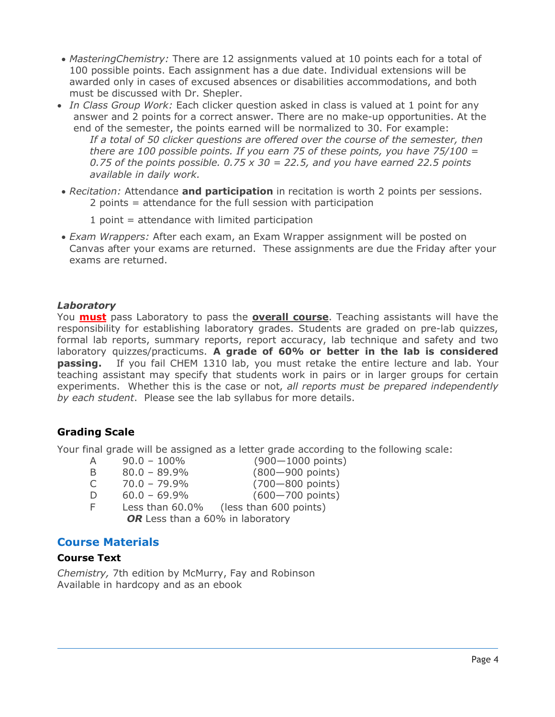- *MasteringChemistry:* There are 12 assignments valued at 10 points each for a total of 100 possible points. Each assignment has a due date. Individual extensions will be awarded only in cases of excused absences or disabilities accommodations, and both must be discussed with Dr. Shepler.
- *In Class Group Work:* Each clicker question asked in class is valued at 1 point for any answer and 2 points for a correct answer. There are no make-up opportunities. At the end of the semester, the points earned will be normalized to 30. For example: *If a total of 50 clicker questions are offered over the course of the semester, then there are 100 possible points. If you earn 75 of these points, you have 75/100 = 0.75 of the points possible. 0.75 x 30 = 22.5, and you have earned 22.5 points available in daily work.*
- *Recitation:* Attendance **and participation** in recitation is worth 2 points per sessions. 2 points = attendance for the full session with participation
	- 1 point = attendance with limited participation
- *Exam Wrappers:* After each exam, an Exam Wrapper assignment will be posted on Canvas after your exams are returned. These assignments are due the Friday after your exams are returned.

#### *Laboratory*

You **must** pass Laboratory to pass the **overall course**. Teaching assistants will have the responsibility for establishing laboratory grades. Students are graded on pre-lab quizzes, formal lab reports, summary reports, report accuracy, lab technique and safety and two laboratory quizzes/practicums. **A grade of 60% or better in the lab is considered**  passing. If you fail CHEM 1310 lab, you must retake the entire lecture and lab. Your teaching assistant may specify that students work in pairs or in larger groups for certain experiments. Whether this is the case or not, *all reports must be prepared independently by each student*. Please see the lab syllabus for more details.

### **Grading Scale**

Your final grade will be assigned as a letter grade according to the following scale:

- A 90.0 100% (900—1000 points)
	-
- 
- B 80.0 89.9% (800—900 points)
- C 70.0 79.9% (700—800 points)
- D 60.0 69.9% (600—700 points)
- F Less than 60.0% (less than 600 points)

OR Less than a 60% in laboratory

## **Course Materials**

## **Course Text**

*Chemistry,* 7th edition by McMurry, Fay and Robinson Available in hardcopy and as an ebook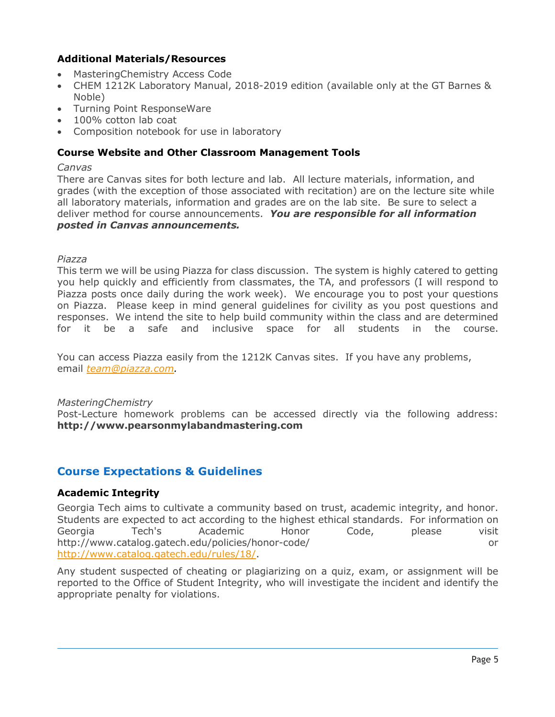### **Additional Materials/Resources**

- MasteringChemistry Access Code
- CHEM 1212K Laboratory Manual, 2018-2019 edition (available only at the GT Barnes & Noble)
- Turning Point ResponseWare
- 100% cotton lab coat
- Composition notebook for use in laboratory

#### **Course Website and Other Classroom Management Tools**

#### *Canvas*

There are Canvas sites for both lecture and lab. All lecture materials, information, and grades (with the exception of those associated with recitation) are on the lecture site while all laboratory materials, information and grades are on the lab site. Be sure to select a deliver method for course announcements. *You are responsible for all information posted in Canvas announcements.*

#### *Piazza*

This term we will be using Piazza for class discussion. The system is highly catered to getting you help quickly and efficiently from classmates, the TA, and professors (I will respond to Piazza posts once daily during the work week). We encourage you to post your questions on Piazza. Please keep in mind general guidelines for civility as you post questions and responses. We intend the site to help build community within the class and are determined for it be a safe and inclusive space for all students in the course.

You can access Piazza easily from the 1212K Canvas sites. If you have any problems, email *team@piazza.com.*

#### *MasteringChemistry*

Post-Lecture homework problems can be accessed directly via the following address: **http://www.pearsonmylabandmastering.com**

### **Course Expectations & Guidelines**

#### **Academic Integrity**

Georgia Tech aims to cultivate a community based on trust, academic integrity, and honor. Students are expected to act according to the highest ethical standards. For information on Georgia Tech's Academic Honor Code, please visit http://www.catalog.gatech.edu/policies/honor-code/ or http://www.catalog.gatech.edu/rules/18/.

Any student suspected of cheating or plagiarizing on a quiz, exam, or assignment will be reported to the Office of Student Integrity, who will investigate the incident and identify the appropriate penalty for violations.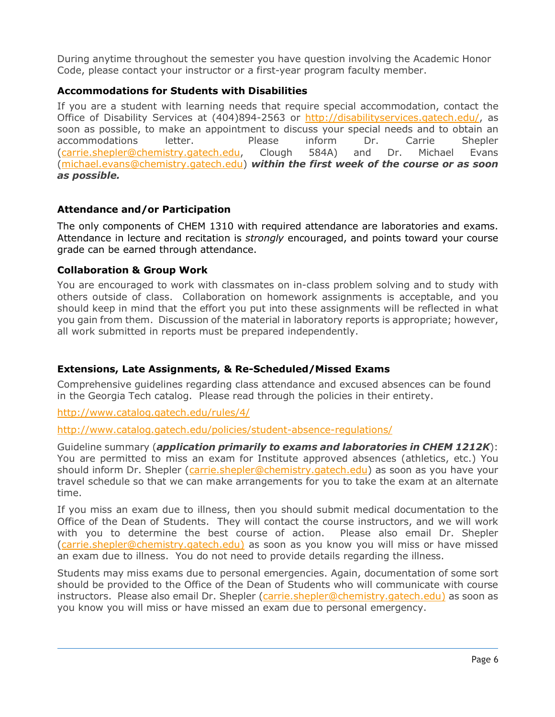During anytime throughout the semester you have question involving the Academic Honor Code, please contact your instructor or a first-year program faculty member.

#### **Accommodations for Students with Disabilities**

If you are a student with learning needs that require special accommodation, contact the Office of Disability Services at (404)894-2563 or http://disabilityservices.gatech.edu/, as soon as possible, to make an appointment to discuss your special needs and to obtain an accommodations letter. Please inform Dr. Carrie Shepler (carrie.shepler@chemistry.gatech.edu, Clough 584A) and Dr. Michael Evans (michael.evans@chemistry.gatech.edu) *within the first week of the course or as soon as possible.* 

#### **Attendance and/or Participation**

The only components of CHEM 1310 with required attendance are laboratories and exams. Attendance in lecture and recitation is *strongly* encouraged, and points toward your course grade can be earned through attendance.

#### **Collaboration & Group Work**

You are encouraged to work with classmates on in-class problem solving and to study with others outside of class. Collaboration on homework assignments is acceptable, and you should keep in mind that the effort you put into these assignments will be reflected in what you gain from them. Discussion of the material in laboratory reports is appropriate; however, all work submitted in reports must be prepared independently.

### **Extensions, Late Assignments, & Re-Scheduled/Missed Exams**

Comprehensive guidelines regarding class attendance and excused absences can be found in the Georgia Tech catalog. Please read through the policies in their entirety.

http://www.catalog.gatech.edu/rules/4/

http://www.catalog.gatech.edu/policies/student-absence-regulations/

Guideline summary (*application primarily to exams and laboratories in CHEM 1212K*): You are permitted to miss an exam for Institute approved absences (athletics, etc.) You should inform Dr. Shepler (carrie.shepler@chemistry.gatech.edu) as soon as you have your travel schedule so that we can make arrangements for you to take the exam at an alternate time.

If you miss an exam due to illness, then you should submit medical documentation to the Office of the Dean of Students. They will contact the course instructors, and we will work with you to determine the best course of action. Please also email Dr. Shepler (carrie.shepler@chemistry.gatech.edu) as soon as you know you will miss or have missed an exam due to illness. You do not need to provide details regarding the illness.

Students may miss exams due to personal emergencies. Again, documentation of some sort should be provided to the Office of the Dean of Students who will communicate with course instructors. Please also email Dr. Shepler (carrie.shepler@chemistry.gatech.edu) as soon as you know you will miss or have missed an exam due to personal emergency.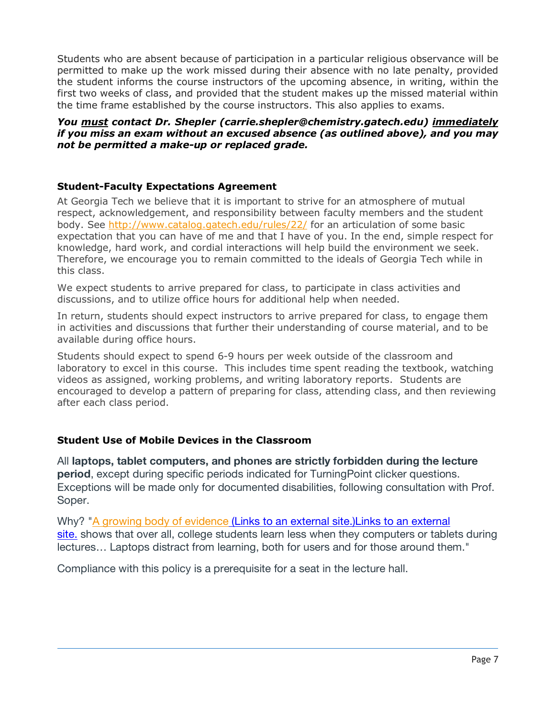Students who are absent because of participation in a particular religious observance will be permitted to make up the work missed during their absence with no late penalty, provided the student informs the course instructors of the upcoming absence, in writing, within the first two weeks of class, and provided that the student makes up the missed material within the time frame established by the course instructors. This also applies to exams.

#### *You must contact Dr. Shepler (carrie.shepler@chemistry.gatech.edu) immediately if you miss an exam without an excused absence (as outlined above), and you may not be permitted a make-up or replaced grade.*

#### **Student-Faculty Expectations Agreement**

At Georgia Tech we believe that it is important to strive for an atmosphere of mutual respect, acknowledgement, and responsibility between faculty members and the student body. See http://www.catalog.gatech.edu/rules/22/ for an articulation of some basic expectation that you can have of me and that I have of you. In the end, simple respect for knowledge, hard work, and cordial interactions will help build the environment we seek. Therefore, we encourage you to remain committed to the ideals of Georgia Tech while in this class.

We expect students to arrive prepared for class, to participate in class activities and discussions, and to utilize office hours for additional help when needed.

In return, students should expect instructors to arrive prepared for class, to engage them in activities and discussions that further their understanding of course material, and to be available during office hours.

Students should expect to spend 6-9 hours per week outside of the classroom and laboratory to excel in this course. This includes time spent reading the textbook, watching videos as assigned, working problems, and writing laboratory reports. Students are encouraged to develop a pattern of preparing for class, attending class, and then reviewing after each class period.

#### **Student Use of Mobile Devices in the Classroom**

All **laptops, tablet computers, and phones are strictly forbidden during the lecture period**, except during specific periods indicated for TurningPoint clicker questions. Exceptions will be made only for documented disabilities, following consultation with Prof. Soper.

Why? "A growing body of evidence (Links to an external site.) Links to an external site. shows that over all, college students learn less when they computers or tablets during lectures… Laptops distract from learning, both for users and for those around them."

Compliance with this policy is a prerequisite for a seat in the lecture hall.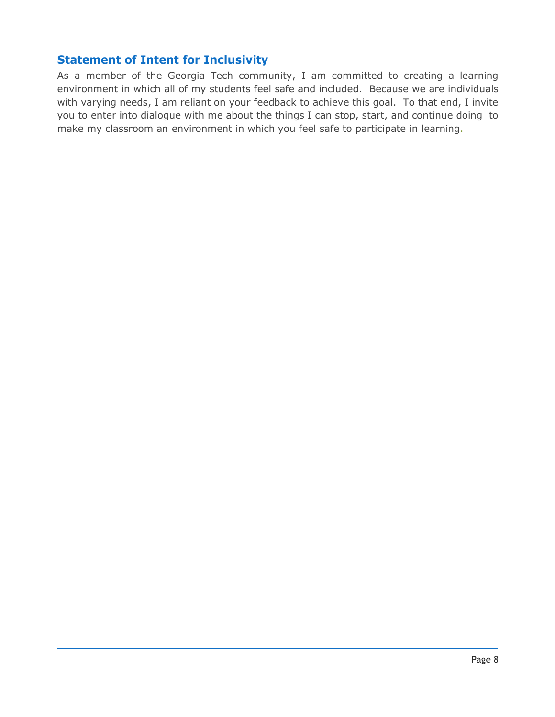## **Statement of Intent for Inclusivity**

As a member of the Georgia Tech community, I am committed to creating a learning environment in which all of my students feel safe and included. Because we are individuals with varying needs, I am reliant on your feedback to achieve this goal. To that end, I invite you to enter into dialogue with me about the things I can stop, start, and continue doing to make my classroom an environment in which you feel safe to participate in learning.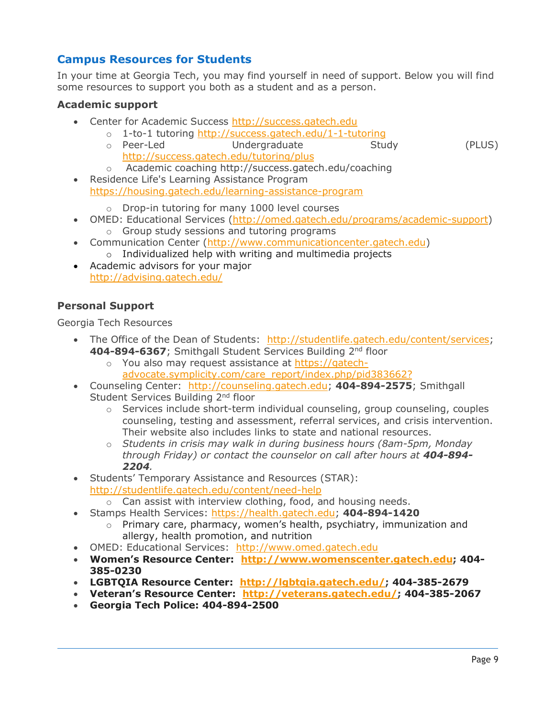## **Campus Resources for Students**

In your time at Georgia Tech, you may find yourself in need of support. Below you will find some resources to support you both as a student and as a person.

#### **Academic support**

- Center for Academic Success http://success.gatech.edu
	- o 1-to-1 tutoring http://success.gatech.edu/1-1-tutoring<br>
	o Peer-Led Undergraduate Study Undergraduate Study (PLUS) http://success.gatech.edu/tutoring/plus
	- o Academic coaching http://success.gatech.edu/coaching
- Residence Life's Learning Assistance Program https://housing.gatech.edu/learning-assistance-program

o Drop-in tutoring for many 1000 level courses

- OMED: Educational Services (http://omed.gatech.edu/programs/academic-support)
	- o Group study sessions and tutoring programs
- Communication Center (http://www.communicationcenter.gatech.edu)
	- o Individualized help with writing and multimedia projects
- Academic advisors for your major http://advising.gatech.edu/

### **Personal Support**

Georgia Tech Resources

- The Office of the Dean of Students: http://studentlife.gatech.edu/content/services; **404-894-6367**; Smithgall Student Services Building 2nd floor
	- o You also may request assistance at https://gatechadvocate.symplicity.com/care\_report/index.php/pid383662?
- Counseling Center: http://counseling.gatech.edu; **404-894-2575**; Smithgall Student Services Building 2<sup>nd</sup> floor
	- $\circ$  Services include short-term individual counseling, group counseling, couples counseling, testing and assessment, referral services, and crisis intervention. Their website also includes links to state and national resources.
	- o *Students in crisis may walk in during business hours (8am-5pm, Monday through Friday) or contact the counselor on call after hours at 404-894- 2204.*
- Students' Temporary Assistance and Resources (STAR): http://studentlife.gatech.edu/content/need-help
	- $\circ$  Can assist with interview clothing, food, and housing needs.
- Stamps Health Services: https://health.gatech.edu; **404-894-1420**
	- $\circ$  Primary care, pharmacy, women's health, psychiatry, immunization and allergy, health promotion, and nutrition
- OMED: Educational Services: http://www.omed.gatech.edu
- **Women's Resource Center: http://www.womenscenter.gatech.edu; 404- 385-0230**
- **LGBTQIA Resource Center: http://lgbtqia.gatech.edu/; 404-385-2679**
- **Veteran's Resource Center: http://veterans.gatech.edu/; 404-385-2067**
- **Georgia Tech Police: 404-894-2500**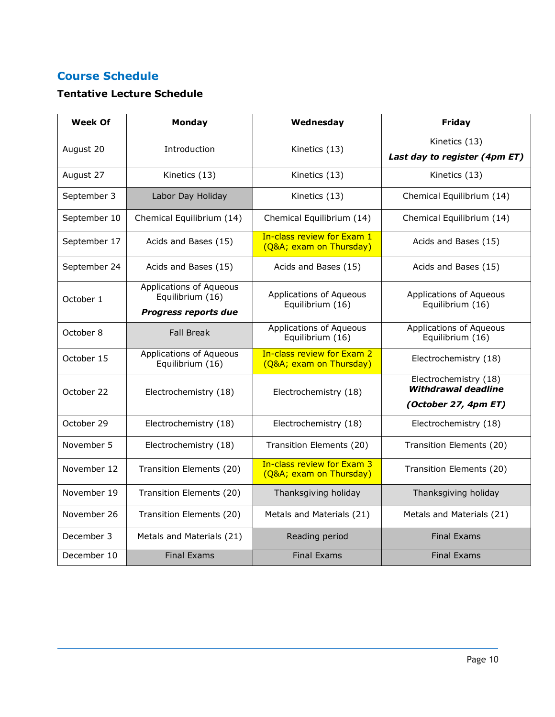## **Course Schedule**

## **Tentative Lecture Schedule**

| <b>Week Of</b> | Monday                                                                     | Wednesday                                            | Friday                                                               |
|----------------|----------------------------------------------------------------------------|------------------------------------------------------|----------------------------------------------------------------------|
| August 20      | Introduction                                                               | Kinetics (13)                                        | Kinetics (13)<br>Last day to register (4pm ET)                       |
| August 27      | Kinetics (13)                                                              | Kinetics (13)                                        | Kinetics (13)                                                        |
| September 3    | Labor Day Holiday                                                          | Kinetics (13)                                        | Chemical Equilibrium (14)                                            |
| September 10   | Chemical Equilibrium (14)                                                  | Chemical Equilibrium (14)                            | Chemical Equilibrium (14)                                            |
| September 17   | Acids and Bases (15)                                                       | In-class review for Exam 1<br>(Q&A exam on Thursday) | Acids and Bases (15)                                                 |
| September 24   | Acids and Bases (15)                                                       | Acids and Bases (15)                                 | Acids and Bases (15)                                                 |
| October 1      | Applications of Aqueous<br>Equilibrium (16)<br><b>Progress reports due</b> | Applications of Aqueous<br>Equilibrium (16)          | Applications of Aqueous<br>Equilibrium (16)                          |
| October 8      | <b>Fall Break</b>                                                          | <b>Applications of Aqueous</b><br>Equilibrium (16)   | <b>Applications of Aqueous</b><br>Equilibrium (16)                   |
| October 15     | Applications of Aqueous<br>Equilibrium (16)                                | In-class review for Exam 2<br>(Q&A exam on Thursday) | Electrochemistry (18)                                                |
| October 22     | Electrochemistry (18)                                                      | Electrochemistry (18)                                | Electrochemistry (18)<br>Withdrawal deadline<br>(October 27, 4pm ET) |
| October 29     | Electrochemistry (18)                                                      | Electrochemistry (18)                                | Electrochemistry (18)                                                |
| November 5     | Electrochemistry (18)                                                      | Transition Elements (20)                             | Transition Elements (20)                                             |
| November 12    | Transition Elements (20)                                                   | In-class review for Exam 3<br>(Q&A exam on Thursday) | Transition Elements (20)                                             |
| November 19    | Transition Elements (20)                                                   | Thanksgiving holiday                                 | Thanksgiving holiday                                                 |
| November 26    | Transition Elements (20)                                                   | Metals and Materials (21)                            | Metals and Materials (21)                                            |
| December 3     | Metals and Materials (21)                                                  | Reading period                                       | <b>Final Exams</b>                                                   |
| December 10    | <b>Final Exams</b>                                                         | <b>Final Exams</b>                                   | <b>Final Exams</b>                                                   |